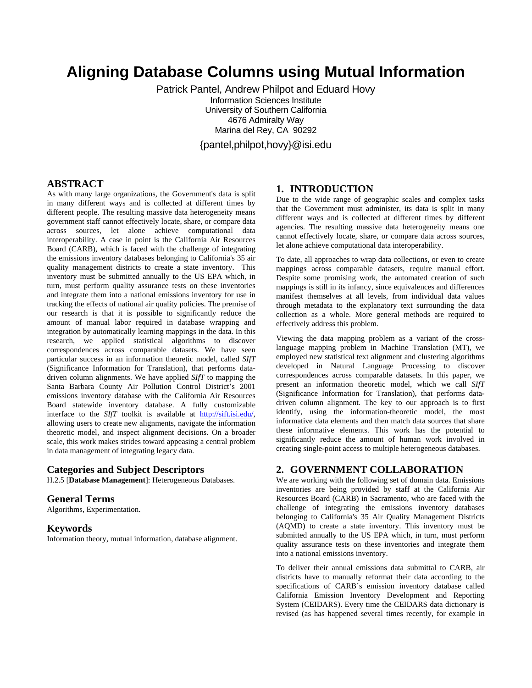# **Aligning Database Columns using Mutual Information**

Patrick Pantel, Andrew Philpot and Eduard Hovy Information Sciences Institute University of Southern California 4676 Admiralty Way Marina del Rey, CA 90292 {pantel,philpot,hovy}@isi.edu

## **ABSTRACT**

As with many large organizations, the Government's data is split in many different ways and is collected at different times by different people. The resulting massive data heterogeneity means government staff cannot effectively locate, share, or compare data across sources, let alone achieve computational data interoperability. A case in point is the California Air Resources Board (CARB), which is faced with the challenge of integrating the emissions inventory databases belonging to California's 35 air quality management districts to create a state inventory. This inventory must be submitted annually to the US EPA which, in turn, must perform quality assurance tests on these inventories and integrate them into a national emissions inventory for use in tracking the effects of national air quality policies. The premise of our research is that it is possible to significantly reduce the amount of manual labor required in database wrapping and integration by automatically learning mappings in the data. In this research, we applied statistical algorithms to discover correspondences across comparable datasets. We have seen particular success in an information theoretic model, called *SIfT* (Significance Information for Translation), that performs datadriven column alignments. We have applied *SIfT* to mapping the Santa Barbara County Air Pollution Control District's 2001 emissions inventory database with the California Air Resources Board statewide inventory database. A fully customizable interface to the *SIfT* toolkit is available at http://sift.isi.edu/, allowing users to create new alignments, navigate the information theoretic model, and inspect alignment decisions. On a broader scale, this work makes strides toward appeasing a central problem in data management of integrating legacy data.

## **Categories and Subject Descriptors**

H.2.5 [**Database Management**]: Heterogeneous Databases.

# **General Terms**

Algorithms, Experimentation.

## **Keywords**

Information theory, mutual information, database alignment.

# **1. INTRODUCTION**

Due to the wide range of geographic scales and complex tasks that the Government must administer, its data is split in many different ways and is collected at different times by different agencies. The resulting massive data heterogeneity means one cannot effectively locate, share, or compare data across sources, let alone achieve computational data interoperability.

To date, all approaches to wrap data collections, or even to create mappings across comparable datasets, require manual effort. Despite some promising work, the automated creation of such mappings is still in its infancy, since equivalences and differences manifest themselves at all levels, from individual data values through metadata to the explanatory text surrounding the data collection as a whole. More general methods are required to effectively address this problem.

Viewing the data mapping problem as a variant of the crosslanguage mapping problem in Machine Translation (MT), we employed new statistical text alignment and clustering algorithms developed in Natural Language Processing to discover correspondences across comparable datasets. In this paper, we present an information theoretic model, which we call *SIfT* (Significance Information for Translation), that performs datadriven column alignment. The key to our approach is to first identify, using the information-theoretic model, the most informative data elements and then match data sources that share these informative elements. This work has the potential to significantly reduce the amount of human work involved in creating single-point access to multiple heterogeneous databases.

# **2. GOVERNMENT COLLABORATION**

We are working with the following set of domain data. Emissions inventories are being provided by staff at the California Air Resources Board (CARB) in Sacramento, who are faced with the challenge of integrating the emissions inventory databases belonging to California's 35 Air Quality Management Districts (AQMD) to create a state inventory. This inventory must be submitted annually to the US EPA which, in turn, must perform quality assurance tests on these inventories and integrate them into a national emissions inventory.

To deliver their annual emissions data submittal to CARB, air districts have to manually reformat their data according to the specifications of CARB's emission inventory database called California Emission Inventory Development and Reporting System (CEIDARS). Every time the CEIDARS data dictionary is revised (as has happened several times recently, for example in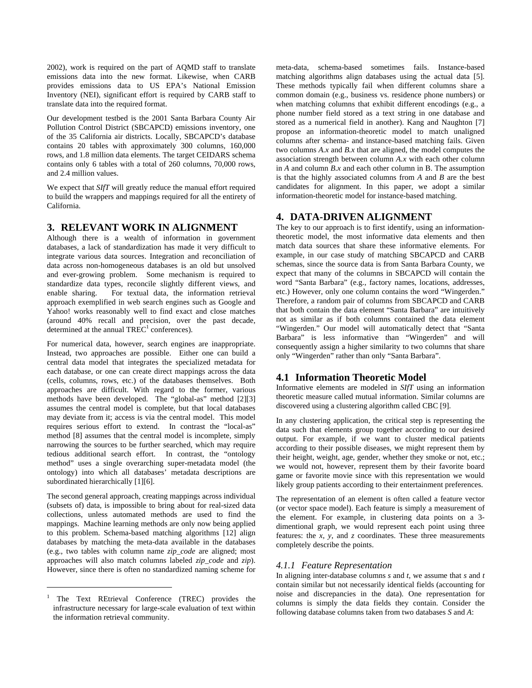2002), work is required on the part of AQMD staff to translate emissions data into the new format. Likewise, when CARB provides emissions data to US EPA's National Emission Inventory (NEI), significant effort is required by CARB staff to translate data into the required format.

Our development testbed is the 2001 Santa Barbara County Air Pollution Control District (SBCAPCD) emissions inventory, one of the 35 California air districts. Locally, SBCAPCD's database contains 20 tables with approximately 300 columns, 160,000 rows, and 1.8 million data elements. The target CEIDARS schema contains only 6 tables with a total of 260 columns, 70,000 rows, and 2.4 million values.

We expect that *SIfT* will greatly reduce the manual effort required to build the wrappers and mappings required for all the entirety of California.

# **3. RELEVANT WORK IN ALIGNMENT**

Although there is a wealth of information in government databases, a lack of standardization has made it very difficult to integrate various data sources. Integration and reconciliation of data across non-homogeneous databases is an old but unsolved and ever-growing problem. Some mechanism is required to standardize data types, reconcile slightly different views, and enable sharing. For textual data, the information retrieval approach exemplified in web search engines such as Google and Yahoo! works reasonably well to find exact and close matches (around 40% recall and precision, over the past decade, determined at the annual  $TREC^1$  conferences).

For numerical data, however, search engines are inappropriate. Instead, two approaches are possible. Either one can build a central data model that integrates the specialized metadata for each database, or one can create direct mappings across the data (cells, columns, rows, etc.) of the databases themselves. Both approaches are difficult. With regard to the former, various methods have been developed. The "global-as" method [2][3] assumes the central model is complete, but that local databases may deviate from it; access is via the central model. This model requires serious effort to extend. In contrast the "local-as" method [8] assumes that the central model is incomplete, simply narrowing the sources to be further searched, which may require tedious additional search effort. In contrast, the "ontology method" uses a single overarching super-metadata model (the ontology) into which all databases' metadata descriptions are subordinated hierarchically [1][6].

The second general approach, creating mappings across individual (subsets of) data, is impossible to bring about for real-sized data collections, unless automated methods are used to find the mappings. Machine learning methods are only now being applied to this problem. Schema-based matching algorithms [12] align databases by matching the meta-data available in the databases (e.g., two tables with column name *zip\_code* are aligned; most approaches will also match columns labeled *zip\_code* and *zip*). However, since there is often no standardized naming scheme for

 $\overline{a}$ 

meta-data, schema-based sometimes fails. Instance-based matching algorithms align databases using the actual data [5]. These methods typically fail when different columns share a common domain (e.g., business vs. residence phone numbers) or when matching columns that exhibit different encodings (e.g., a phone number field stored as a text string in one database and stored as a numerical field in another). Kang and Naughton [7] propose an information-theoretic model to match unaligned columns after schema- and instance-based matching fails. Given two columns *A.x* and *B.x* that are aligned, the model computes the association strength between column *A.x* with each other column in *A* and column *B.x* and each other column in B. The assumption is that the highly associated columns from *A* and *B* are the best candidates for alignment. In this paper, we adopt a similar information-theoretic model for instance-based matching.

# **4. DATA-DRIVEN ALIGNMENT**

The key to our approach is to first identify, using an informationtheoretic model, the most informative data elements and then match data sources that share these informative elements. For example, in our case study of matching SBCAPCD and CARB schemas, since the source data is from Santa Barbara County, we expect that many of the columns in SBCAPCD will contain the word "Santa Barbara" (e.g., factory names, locations, addresses, etc.) However, only one column contains the word "Wingerden." Therefore, a random pair of columns from SBCAPCD and CARB that both contain the data element "Santa Barbara" are intuitively not as similar as if both columns contained the data element "Wingerden." Our model will automatically detect that "Santa Barbara" is less informative than "Wingerden" and will consequently assign a higher similarity to two columns that share only "Wingerden" rather than only "Santa Barbara".

# **4.1 Information Theoretic Model**

Informative elements are modeled in *SIfT* using an information theoretic measure called mutual information. Similar columns are discovered using a clustering algorithm called CBC [9].

In any clustering application, the critical step is representing the data such that elements group together according to our desired output. For example, if we want to cluster medical patients according to their possible diseases, we might represent them by their height, weight, age, gender, whether they smoke or not, etc.; we would not, however, represent them by their favorite board game or favorite movie since with this representation we would likely group patients according to their entertainment preferences.

The representation of an element is often called a feature vector (or vector space model). Each feature is simply a measurement of the element. For example, in clustering data points on a 3 dimentional graph, we would represent each point using three features: the *x*, *y*, and *z* coordinates. These three measurements completely describe the points.

## *4.1.1 Feature Representation*

In aligning inter-database columns *s* and *t*, we assume that *s* and *t* contain similar but not necessarily identical fields (accounting for noise and discrepancies in the data). One representation for columns is simply the data fields they contain. Consider the following database columns taken from two databases *S* and *A*:

<sup>1</sup> The Text REtrieval Conference (TREC) provides the infrastructure necessary for large-scale evaluation of text within the information retrieval community.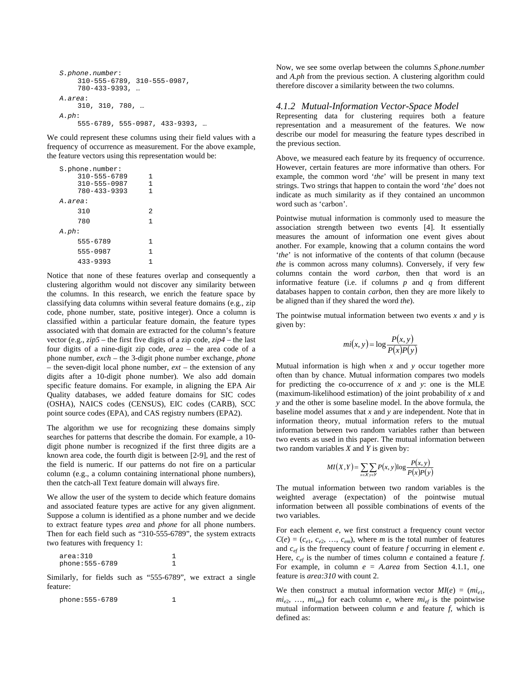```
S.phone.number: 
    310-555-6789, 310-555-0987, 
    780-433-9393, … 
A.area: 
    310, 310, 780, … 
A.ph: 
    555-6789, 555-0987, 433-9393, …
```
We could represent these columns using their field values with a frequency of occurrence as measurement. For the above example, the feature vectors using this representation would be:

| S.phone.number:<br>$310 - 555 - 6789$<br>$310 - 555 - 0987$<br>780-433-9393 | 1<br>1<br>1 |  |  |  |  |
|-----------------------------------------------------------------------------|-------------|--|--|--|--|
| A.area:                                                                     |             |  |  |  |  |
| 310                                                                         | 2           |  |  |  |  |
| 780                                                                         | 1           |  |  |  |  |
| A.ph:                                                                       |             |  |  |  |  |
| 555-6789                                                                    | 1           |  |  |  |  |
| 555-0987                                                                    | 1           |  |  |  |  |
| $433 - 9393$                                                                |             |  |  |  |  |

Notice that none of these features overlap and consequently a clustering algorithm would not discover any similarity between the columns. In this research, we enrich the feature space by classifying data columns within several feature domains (e.g., zip code, phone number, state, positive integer). Once a column is classified within a particular feature domain, the feature types associated with that domain are extracted for the column's feature vector (e.g., *zip5* – the first five digits of a zip code, *zip4* – the last four digits of a nine-digit zip code, *area* – the area code of a phone number, *exch* – the 3-digit phone number exchange, *phone* – the seven-digit local phone number,  $ext -$  the extension of any digits after a 10-digit phone number). We also add domain specific feature domains. For example, in aligning the EPA Air Quality databases, we added feature domains for SIC codes (OSHA), NAICS codes (CENSUS), EIC codes (CARB), SCC point source codes (EPA), and CAS registry numbers (EPA2).

The algorithm we use for recognizing these domains simply searches for patterns that describe the domain. For example, a 10 digit phone number is recognized if the first three digits are a known area code, the fourth digit is between [2-9], and the rest of the field is numeric. If our patterns do not fire on a particular column (e.g., a column containing international phone numbers), then the catch-all Text feature domain will always fire.

We allow the user of the system to decide which feature domains and associated feature types are active for any given alignment. Suppose a column is identified as a phone number and we decide to extract feature types *area* and *phone* for all phone numbers. Then for each field such as "310-555-6789", the system extracts two features with frequency 1:

| area:310        |  |
|-----------------|--|
| phone: 555-6789 |  |

Similarly, for fields such as "555-6789", we extract a single feature:

phone:555-6789 1

Now, we see some overlap between the columns *S.phone.number*  and *A.ph* from the previous section. A clustering algorithm could therefore discover a similarity between the two columns.

#### *4.1.2 Mutual-Information Vector-Space Model*

Representing data for clustering requires both a feature representation and a measurement of the features. We now describe our model for measuring the feature types described in the previous section.

Above, we measured each feature by its frequency of occurrence. However, certain features are more informative than others. For example, the common word '*the*' will be present in many text strings. Two strings that happen to contain the word '*the*' does not indicate as much similarity as if they contained an uncommon word such as 'carbon'.

Pointwise mutual information is commonly used to measure the association strength between two events [4]. It essentially measures the amount of information one event gives about another. For example, knowing that a column contains the word '*the*' is not informative of the contents of that column (because *the* is common across many columns). Conversely, if very few columns contain the word *carbon*, then that word is an informative feature (i.e. if columns *p* and *q* from different databases happen to contain *carbon*, then they are more likely to be aligned than if they shared the word *the*).

The pointwise mutual information between two events *x* and *y* is given by:

$$
mi(x, y) = \log \frac{P(x, y)}{P(x)P(y)}
$$

Mutual information is high when *x* and *y* occur together more often than by chance. Mutual information compares two models for predicting the co-occurrence of *x* and *y*: one is the MLE (maximum-likelihood estimation) of the joint probability of *x* and *y* and the other is some baseline model. In the above formula, the baseline model assumes that *x* and *y* are independent. Note that in information theory, mutual information refers to the mutual information between two random variables rather than between two events as used in this paper. The mutual information between two random variables *X* and *Y* is given by:

$$
MI(X,Y) = \sum_{x \in X} \sum_{y \in Y} P(x,y) \log \frac{P(x,y)}{P(x)P(y)}
$$

The mutual information between two random variables is the weighted average (expectation) of the pointwise mutual information between all possible combinations of events of the two variables.

For each element *e*, we first construct a frequency count vector  $C(e) = (c_{e1}, c_{e2}, \ldots, c_{em})$ , where *m* is the total number of features and *cef* is the frequency count of feature *f* occurring in element *e*. Here,  $c_{ef}$  is the number of times column *e* contained a feature *f*. For example, in column *e* = *A.area* from Section 4.1.1, one feature is *area:310* with count 2.

We then construct a mutual information vector  $MI(e) = (mi_{e1},$  $mi_{e2}$ , ...,  $mi_{em}$  for each column *e*, where  $mi_{ef}$  is the pointwise mutual information between column *e* and feature *f*, which is defined as: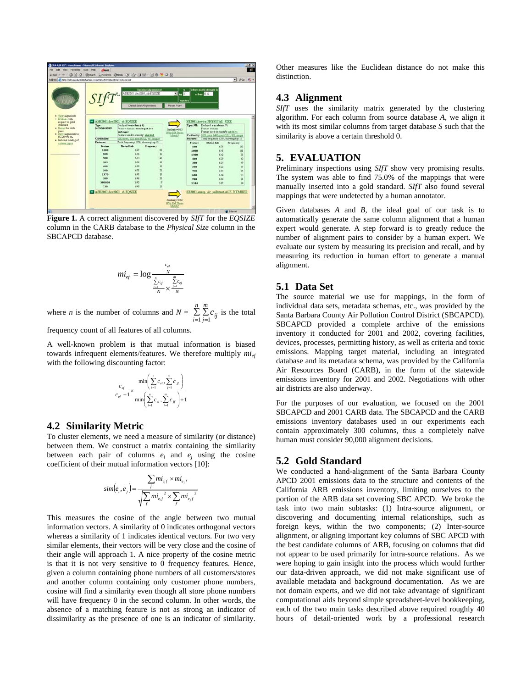

**Figure 1.** A correct alignment discovered by *SIfT* for the *EQSIZE* column in the CARB database to the *Physical Size* column in the SBCAPCD database.

$$
mi_{ef} = \log \frac{\frac{c_{ef}}{N}}{\frac{\sum\limits_{i=1}^{n} c_{if}}{N} \times \frac{\sum\limits_{j=1}^{m} c_{ej}}{N}}
$$

where *n* is the number of columns and  $N = \sum_{i=1}^{n} \sum_{j=1}^{N}$ *n i*  $\sum_{i=1}^{m} c_{ij}$  is the total

frequency count of all features of all columns.

A well-known problem is that mutual information is biased towards infrequent elements/features. We therefore multiply  $mi_{ef}$ with the following discounting factor:

$$
\frac{c_{\mathit{ef}}}{c_{\mathit{ef}}+1} \times \frac{\min\left(\sum_{i=1}^{n} c_{\mathit{ei}}, \sum_{j=1}^{m} c_{\mathit{if}}\right)}{\min\left(\sum_{i=1}^{n} c_{\mathit{ei}}, \sum_{j=1}^{m} c_{\mathit{if}}\right)+1}
$$

#### **4.2 Similarity Metric**

To cluster elements, we need a measure of similarity (or distance) between them. We construct a matrix containing the similarity between each pair of columns  $e_i$  and  $e_j$  using the cosine coefficient of their mutual information vectors [10]:

$$
sim(e_i, e_j) = \frac{\sum_{f} m i_{e,f} \times m i_{e,f}}{\sqrt{\sum_{f} m i_{e,f}^2 \times \sum_{f} m i_{e,f}^2}}
$$

This measures the cosine of the angle between two mutual information vectors. A similarity of 0 indicates orthogonal vectors whereas a similarity of 1 indicates identical vectors. For two very similar elements, their vectors will be very close and the cosine of their angle will approach 1. A nice property of the cosine metric is that it is not very sensitive to 0 frequency features. Hence, given a column containing phone numbers of all customers/stores and another column containing only customer phone numbers, cosine will find a similarity even though all store phone numbers will have frequency 0 in the second column. In other words, the absence of a matching feature is not as strong an indicator of dissimilarity as the presence of one is an indicator of similarity.

Other measures like the Euclidean distance do not make this distinction.

## **4.3 Alignment**

*SIfT* uses the similarity matrix generated by the clustering algorithm. For each column from source database *A*, we align it with its most similar columns from target database *S* such that the similarity is above a certain threshold θ.

# **5. EVALUATION**

Preliminary inspections using *SIfT* show very promising results. The system was able to find 75.0% of the mappings that were manually inserted into a gold standard. *SIfT* also found several mappings that were undetected by a human annotator.

Given databases *A* and *B*, the ideal goal of our task is to automatically generate the same column alignment that a human expert would generate. A step forward is to greatly reduce the number of alignment pairs to consider by a human expert. We evaluate our system by measuring its precision and recall, and by measuring its reduction in human effort to generate a manual alignment.

# **5.1 Data Set**

The source material we use for mappings, in the form of individual data sets, metadata schemas, etc., was provided by the Santa Barbara County Air Pollution Control District (SBCAPCD). SBCAPCD provided a complete archive of the emissions inventory it conducted for 2001 and 2002, covering facilities, devices, processes, permitting history, as well as criteria and toxic emissions. Mapping target material, including an integrated database and its metadata schema, was provided by the California Air Resources Board (CARB), in the form of the statewide emissions inventory for 2001 and 2002. Negotiations with other air districts are also underway.

For the purposes of our evaluation, we focused on the 2001 SBCAPCD and 2001 CARB data. The SBCAPCD and the CARB emissions inventory databases used in our experiments each contain approximately 300 columns, thus a completely naïve human must consider 90,000 alignment decisions.

## **5.2 Gold Standard**

We conducted a hand-alignment of the Santa Barbara County APCD 2001 emissions data to the structure and contents of the California ARB emissions inventory, limiting ourselves to the portion of the ARB data set covering SBC APCD. We broke the task into two main subtasks: (1) Intra-source alignment, or discovering and documenting internal relationships, such as foreign keys, within the two components; (2) Inter-source alignment, or aligning important key columns of SBC APCD with the best candidate columns of ARB, focusing on columns that did not appear to be used primarily for intra-source relations. As we were hoping to gain insight into the process which would further our data-driven approach, we did not make significant use of available metadata and background documentation. As we are not domain experts, and we did not take advantage of significant computational aids beyond simple spreadsheet-level bookkeeping, each of the two main tasks described above required roughly 40 hours of detail-oriented work by a professional research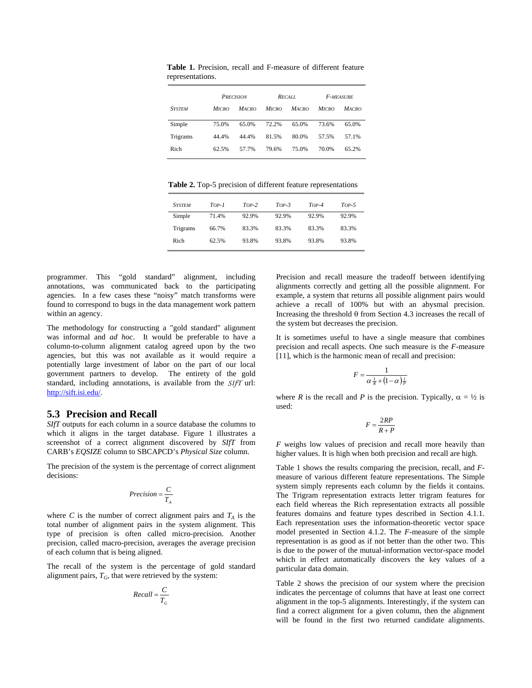|               | <b>PRECISION</b> |              | RECALL.      |              | <b>F-MEASURE</b> |              |
|---------------|------------------|--------------|--------------|--------------|------------------|--------------|
| <b>SYSTEM</b> | <b>MICRO</b>     | <b>MACRO</b> | <b>MICRO</b> | <b>MACRO</b> | <b>MICRO</b>     | <b>MACRO</b> |
| Simple        | 75.0%            | 65.0%        | 72.2%        | 65.0%        | 73.6%            | 65.0%        |
| Trigrams      | 44.4%            | 44.4%        | 81.5%        | 80.0%        | 57.5%            | 57.1%        |
| Rich          | 62.5%            | 57.7%        | 79.6%        | 75.0%        | 70.0%            | 65.2%        |

**Table 1.** Precision, recall and F-measure of different feature representations.

**Table 2.** Top-5 precision of different feature representations

| <b>SYSTEM</b> | Top-1 | $Top-2$ | $Top-3$ | $Top-4$ | $Top-5$ |
|---------------|-------|---------|---------|---------|---------|
| Simple        | 71.4% | 92.9%   | 92.9%   | 92.9%   | 92.9%   |
| Trigrams      | 66.7% | 83.3%   | 83.3%   | 83.3%   | 83.3%   |
| Rich          | 62.5% | 93.8%   | 93.8%   | 93.8%   | 93.8%   |

programmer. This "gold standard" alignment, including annotations, was communicated back to the participating agencies. In a few cases these "noisy" match transforms were found to correspond to bugs in the data management work pattern within an agency.

The methodology for constructing a "gold standard" alignment was informal and *ad hoc*. It would be preferable to have a column-to-column alignment catalog agreed upon by the two agencies, but this was not available as it would require a potentially large investment of labor on the part of our local government partners to develop. The entirety of the gold standard, including annotations, is available from the *SIfT* url: http://sift.isi.edu/.

#### **5.3 Precision and Recall**

*SIfT* outputs for each column in a source database the columns to which it aligns in the target database. Figure 1 illustrates a screenshot of a correct alignment discovered by *SIfT* from CARB's *EQSIZE* column to SBCAPCD's *Physical Size* column.

The precision of the system is the percentage of correct alignment decisions:

$$
Precision = \frac{C}{T_A}
$$

where *C* is the number of correct alignment pairs and  $T_A$  is the total number of alignment pairs in the system alignment. This type of precision is often called micro-precision. Another precision, called macro-precision, averages the average precision of each column that is being aligned.

The recall of the system is the percentage of gold standard alignment pairs,  $T_G$ , that were retrieved by the system:

$$
Recall = \frac{C}{T_G}
$$

Precision and recall measure the tradeoff between identifying alignments correctly and getting all the possible alignment. For example, a system that returns all possible alignment pairs would achieve a recall of 100% but with an abysmal precision. Increasing the threshold  $\theta$  from Section 4.3 increases the recall of the system but decreases the precision.

It is sometimes useful to have a single measure that combines precision and recall aspects. One such measure is the *F*-measure [11], which is the harmonic mean of recall and precision:

$$
F = \frac{1}{\alpha \frac{1}{R} + (1 - \alpha) \frac{1}{P}}
$$

where *R* is the recall and *P* is the precision. Typically,  $\alpha = \frac{1}{2}$  is used:

$$
F = \frac{2RP}{R+P}
$$

*F* weighs low values of precision and recall more heavily than higher values. It is high when both precision and recall are high.

Table 1 shows the results comparing the precision, recall, and *F*measure of various different feature representations. The Simple system simply represents each column by the fields it contains. The Trigram representation extracts letter trigram features for each field whereas the Rich representation extracts all possible features domains and feature types described in Section 4.1.1. Each representation uses the information-theoretic vector space model presented in Section 4.1.2. The *F*-measure of the simple representation is as good as if not better than the other two. This is due to the power of the mutual-information vector-space model which in effect automatically discovers the key values of a particular data domain.

Table 2 shows the precision of our system where the precision indicates the percentage of columns that have at least one correct alignment in the top-5 alignments. Interestingly, if the system can find a correct alignment for a given column, then the alignment will be found in the first two returned candidate alignments.